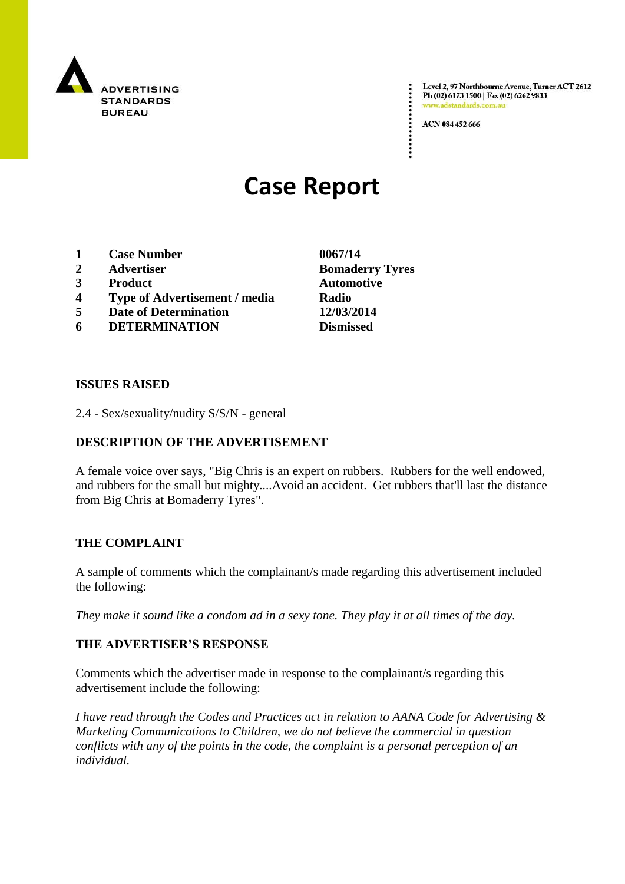

Level 2, 97 Northbourne Avenue, Turner ACT 2612 Ph (02) 6173 1500 | Fax (02) 6262 9833 v.adstandards.com.a

ACN 084 452 666

# **Case Report**

- **1 Case Number 0067/14**
- **2 Advertiser Bomaderry Tyres**
- **3 Product Automotive**
- **4 Type of Advertisement / media Radio**
- **5 Date of Determination 12/03/2014**
- **6 DETERMINATION Dismissed**

**ISSUES RAISED**

2.4 - Sex/sexuality/nudity S/S/N - general

## **DESCRIPTION OF THE ADVERTISEMENT**

A female voice over says, "Big Chris is an expert on rubbers. Rubbers for the well endowed, and rubbers for the small but mighty....Avoid an accident. Get rubbers that'll last the distance from Big Chris at Bomaderry Tyres".

### **THE COMPLAINT**

A sample of comments which the complainant/s made regarding this advertisement included the following:

*They make it sound like a condom ad in a sexy tone. They play it at all times of the day.*

### **THE ADVERTISER'S RESPONSE**

Comments which the advertiser made in response to the complainant/s regarding this advertisement include the following:

*I have read through the Codes and Practices act in relation to AANA Code for Advertising & Marketing Communications to Children, we do not believe the commercial in question conflicts with any of the points in the code, the complaint is a personal perception of an individual.*